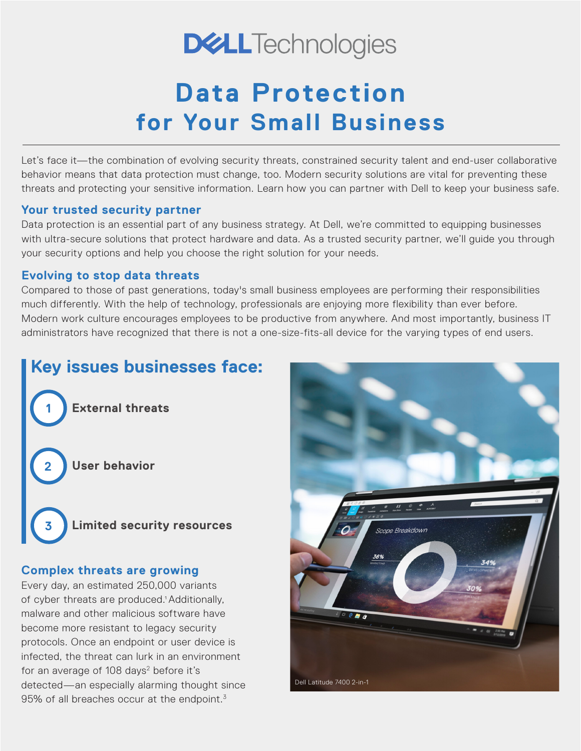# **DELLTechnologies**

# **Data Protection for Your Small Business**

Let's face it—the combination of evolving security threats, constrained security talent and end-user collaborative behavior means that data protection must change, too. Modern security solutions are vital for preventing these threats and protecting your sensitive information. Learn how you can partner with Dell to keep your business safe.

#### **Your trusted security partner**

Data protection is an essential part of any business strategy. At Dell, we're committed to equipping businesses with ultra-secure solutions that protect hardware and data. As a trusted security partner, we'll guide you through your security options and help you choose the right solution for your needs.

#### **Evolving to stop data threats**

Compared to those of past generations, today's small business employees are performing their responsibilities much differently. With the help of technology, professionals are enjoying more flexibility than ever before. Modern work culture encourages employees to be productive from anywhere. And most importantly, business IT administrators have recognized that there is not a one-size-fits-all device for the varying types of end users.

## **Key issues businesses face:**

**1 External threats**

**2 User behavior**



#### **Complex threats are growing**

Every day, an estimated 250,000 variants of cyber threats are produced.<sup>1</sup> Additionally, malware and other malicious software have become more resistant to legacy security protocols. Once an endpoint or user device is infected, the threat can lurk in an environment for an average of 108 days<sup>2</sup> before it's detected—an especially alarming thought since 95% of all breaches occur at the endpoint. $3$ 

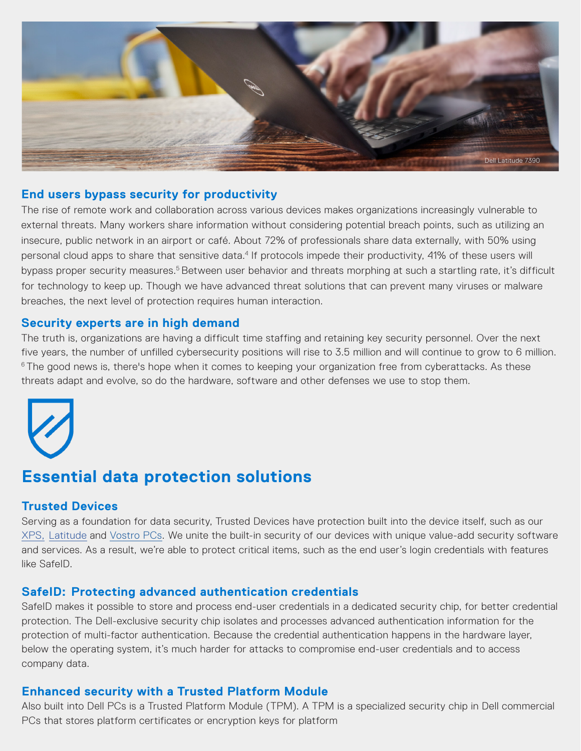

#### **End users bypass security for productivity**

The rise of remote work and collaboration across various devices makes organizations increasingly vulnerable to external threats. Many workers share information without considering potential breach points, such as utilizing an insecure, public network in an airport or café. About 72% of professionals share data externally, with 50% using personal cloud apps to share that sensitive data.<sup>4</sup> If protocols impede their productivity, 41% of these users will bypass proper security measures.<sup>5</sup> Between user behavior and threats morphing at such a startling rate, it's difficult for technology to keep up. Though we have advanced threat solutions that can prevent many viruses or malware breaches, the next level of protection requires human interaction.

#### **Security experts are in high demand**

The truth is, organizations are having a difficult time staffing and retaining key security personnel. Over the next five years, the number of unfilled cybersecurity positions will rise to 3.5 million and will continue to grow to 6 million. <sup>6</sup> The good news is, there's hope when it comes to keeping your organization free from cyberattacks. As these threats adapt and evolve, so do the hardware, software and other defenses we use to stop them.



### **Essential data protection solutions**

#### **Trusted Devices**

Serving as a foundation for data security, Trusted Devices have protection built into the device itself, such as our XPS, Latitude and Vostro PCs. We unite the built-in security of our devices with unique value-add security software and services. As a result, we're able to protect critical items, such as the end user's login credentials with features like SafeID.

#### **SafeID: Protecting advanced authentication credentials**

SafeID makes it possible to store and process end-user credentials in a dedicated security chip, for better credential protection. The Dell-exclusive security chip isolates and processes advanced authentication information for the protection of multi-factor authentication. Because the credential authentication happens in the hardware layer, below the operating system, it's much harder for attacks to compromise end-user credentials and to access company data.

#### **Enhanced security with a Trusted Platform Module**

Also built into Dell PCs is a Trusted Platform Module (TPM). A TPM is a specialized security chip in Dell commercial PCs that stores platform certificates or encryption keys for platform